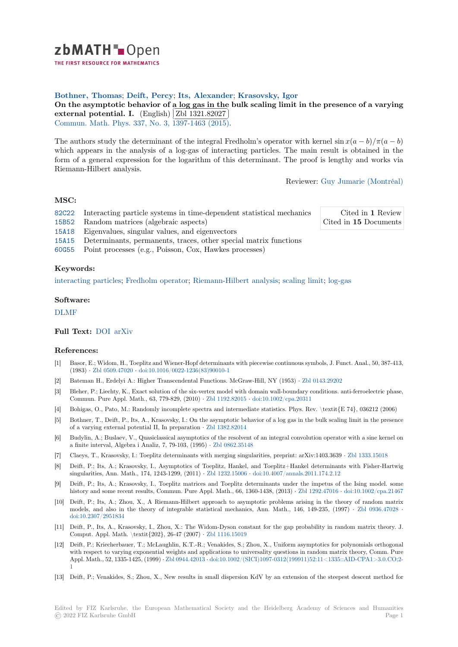zbMATH-Open

THE FIRST RESOURCE FOR MATHEMATICS

# **Bothner, Thomas**; **Deift, Percy**; **Its, Alexander**; **Krasovsky, Igor**

[O](https://zbmath.org/)n the asymptotic behavior of a log gas in the bulk scaling limit in the presence of a varying external potential. I. (English) Zbl 1321.82027

EXECTRIA POCEDIAL: 1. (English) (201 1021.02021)<br>Commun. Math. Phys. 337, No. 3, 1397-1463 (2015).

[The authors study the determinant of the integral Fredholm's operator with kernel](https://zbmath.org/1321.82027)  $\sin x(a - b)/\pi(a - b)$ [which appears in the an](https://zbmath.org/1321.82027)alysis ofa [log-gas of interac](https://zbmath.org/1321.82027)ting particles. The main result is obtained in the [form of a general expr](https://zbmath.org/journals/?q=se:63)[ession for the logarithm of th](https://zbmath.org/?q=in:344289)is determinant. The proof is lengthy and works via Riemann-Hilbert analysis.

Reviewer: Guy Jumarie (Montréal)

## **MSC:**

- 82C22 Interacting particle systems in time-dependent statistical mechanics
- 15B52 Random matrices (algebraic aspects)

Cited in **1** Review Cited in **15** [Documents](https://zbmath.org/authors/?q=jumarie.guy-m)

- 15A18 Eigenvalues, singular values, and eigenvectors 15A15 Determinants, permanents, traces, other special matrix functions
- 
- [60G55](https://zbmath.org/classification/?q=cc:82C22) Point processes (e.g., Poisson, Cox, Hawkes processes)

#### **[Keyw](https://zbmath.org/classification/?q=cc:15A18)ords:**

[interac](https://zbmath.org/classification/?q=cc:15A15)ting particles; Fredholm operator; Riemann-Hilbert analysis; scaling limit; log-gas

#### **Software:**

[DLMF](https://zbmath.org/?q=ut:interacting+particles)

## **Full Text:** DOI arXiv

## **[Refere](https://swmath.org/software/4968)nces:**

- [1] Basor, E.; Widom, H., Toeplitz and Wiener-Hopf determinants with piecewise continuous symbols, J. Funct. Anal., 50, 387-413, (1983) *·* [Zbl 050](https://dx.doi.org/10.1007/s00220-015-2357-1)[9.47020](https://arxiv.org/abs/1407.2910) *·* doi:10.1016/0022-1236(83)90010-1
- [2] Bateman H., Erdelyi A.: Higher Transcendental Functions. McGraw-Hill, NY (1953) *·* Zbl 0143.29202
- [3] Bleher, P.; Liechty, K., Exact solution of the six-vertex model with domain wall-boundary conditions. anti-ferroelectric phase, Commun. Pure Appl. Math., 63, 779-829, (2010) *·* Zbl 1192.82015 *·* doi:10.1002/cpa.20311
- [4] Bohigas, [O., Pato, M.: R](https://zbmath.org/0509.47020)[andomly incomplete spectra and in](https://dx.doi.org/10.1016/0022-1236(83)90010-1)termediate statistics. Phys. Rev. \textit{E 74}, 036212 (2006)
- [5] Bothner, T., Deift, P., Its, A., Krasovsky, I.: On the asymptotic behavior of a log gasi[n the bulk scalin](https://zbmath.org/0143.29202)g limit in the presence of a varying external potential II, In preparation *·* Zbl 1382.82014
- [6] Budylin, A.; Buslaev, V., Quasiclassical asymptoti[cs of the resolven](https://zbmath.org/1192.82015)t [of an integral convolut](https://dx.doi.org/10.1002/cpa.20311)ion operator with a sine kernel on a finite interval, Algebra i Analiz, 7, 79-103, (1995) *·* Zbl 0862.35148
- [7] Claeys, T., Krasovsky, I.: Toeplitz determinants with merging singularities, preprint: arXiv:1403.3639 *·* Zbl 1333.15018
- [8] Deift, P.; Its, A.; Krasovsky, I., Asymptotics of [Toeplitz, Hankel](https://zbmath.org/1382.82014), and Toeplitz+Hankel determinants with Fisher-Hartwig singularities, Ann. Math., 174, 1243-1299, (2011) *·* Zbl 1232.15006 *·* doi:10.4007/annals.2011.174.2.12
- Deift, P.; Its, A.; Krasovsky, I., Toeplitz matrices a[nd Toeplitz det](https://zbmath.org/0862.35148)erminants under the impetus of the Ising model. some history and some recent results, Commun. Pure Appl. Math., 66, 1360-1438, (2013) *·* Zbl 1292.47016 *·* d[oi:10.1002/cpa.](https://zbmath.org/1333.15018)21467
- [10] Deift, P.; Its, A.; Zhou, X., A Riemann-Hilbert approach to asymptotic problems arising in the theory of random matrix models, and also in the theory of integrable stat[istical mechani](https://zbmath.org/1232.15006)cs[, Ann. Math., 146, 149-235, \(19](https://dx.doi.org/10.4007/annals.2011.174.2.12)97) *·* Zbl 0936.47028 *·* doi:10.2307/2951834
- [11] Deift, P., Its, A., Krasovsky, I., Zhou, X.: The Widom-Dyson constant for the gap [probability in ra](https://zbmath.org/1292.47016)n[dom matrix theory. J.](https://dx.doi.org/10.1002/cpa.21467) Comput. Appl. Math. \textit{202}, 26-47 (2007) *·* Zbl 1116.15019
- [12] Deift, P.; Kriecherbauer, T.; McLaughlin, K.T.-R.; Venakides, S.; Zhou, X., Uniform asymptotics for polyn[omials orthogon](https://zbmath.org/0936.47028)al [with respect to varyi](https://dx.doi.org/10.2307/2951834)ng exponential weights and applications to universality questions in random matrix theory, Comm. Pure Appl. Math., 52, 1335-1425, (1999) *·* Zbl 0944.42013 *·* doi:10.1002/(SICI)1097-0312(199911)52:11<1335::AID-CPA1>3.0.CO;2- 1
- [13] Deift, P.; Venakides, S.; Zhou, X., New results in [small dispersion](https://zbmath.org/1116.15019) KdV by an extension of the steepest descent method for